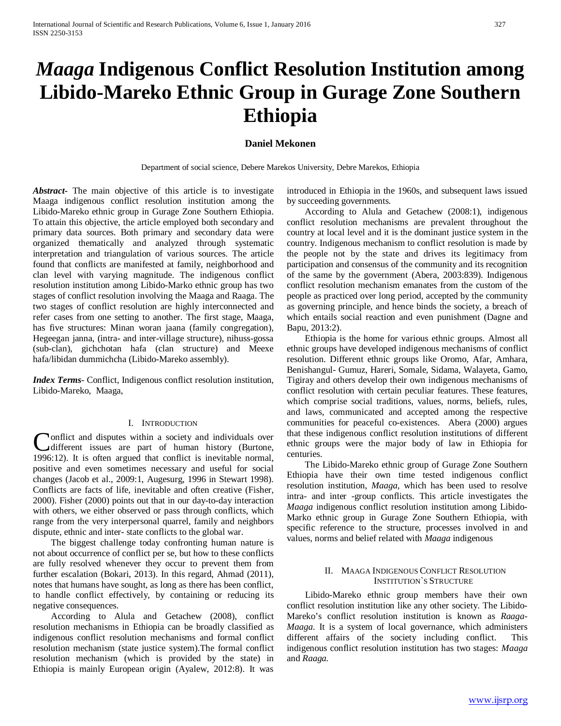# *Maaga* **Indigenous Conflict Resolution Institution among Libido-Mareko Ethnic Group in Gurage Zone Southern Ethiopia**

# **Daniel Mekonen**

Department of social science, Debere Marekos University, Debre Marekos, Ethiopia

*Abstract***-** The main objective of this article is to investigate Maaga indigenous conflict resolution institution among the Libido-Mareko ethnic group in Gurage Zone Southern Ethiopia. To attain this objective, the article employed both secondary and primary data sources. Both primary and secondary data were organized thematically and analyzed through systematic interpretation and triangulation of various sources. The article found that conflicts are manifested at family, neighborhood and clan level with varying magnitude. The indigenous conflict resolution institution among Libido-Marko ethnic group has two stages of conflict resolution involving the Maaga and Raaga. The two stages of conflict resolution are highly interconnected and refer cases from one setting to another. The first stage, Maaga, has five structures: Minan woran jaana (family congregation), Hegeegan janna, (intra- and inter-village structure), nihuss-gossa (sub-clan), gichchotan hafa (clan structure) and Meexe hafa/libidan dummichcha (Libido-Mareko assembly).

*Index Terms*- Conflict, Indigenous conflict resolution institution, Libido-Mareko, Maaga,

## I. INTRODUCTION

**Nonflict and disputes within a society and individuals over** Conflict and disputes within a society and individuals over<br>
different issues are part of human history (Burtone, 1996:12). It is often argued that conflict is inevitable normal, positive and even sometimes necessary and useful for social changes (Jacob et al., 2009:1, Augesurg, 1996 in Stewart 1998). Conflicts are facts of life, inevitable and often creative (Fisher, 2000). Fisher (2000) points out that in our day-to-day interaction with others, we either observed or pass through conflicts, which range from the very interpersonal quarrel, family and neighbors dispute, ethnic and inter- state conflicts to the global war.

 The biggest challenge today confronting human nature is not about occurrence of conflict per se, but how to these conflicts are fully resolved whenever they occur to prevent them from further escalation (Bokari, 2013). In this regard, Ahmad (2011), notes that humans have sought, as long as there has been conflict, to handle conflict effectively, by containing or reducing its negative consequences.

 According to Alula and Getachew (2008), conflict resolution mechanisms in Ethiopia can be broadly classified as indigenous conflict resolution mechanisms and formal conflict resolution mechanism (state justice system).The formal conflict resolution mechanism (which is provided by the state) in Ethiopia is mainly European origin (Ayalew, 2012:8). It was

introduced in Ethiopia in the 1960s, and subsequent laws issued by succeeding governments.

 According to Alula and Getachew (2008:1), indigenous conflict resolution mechanisms are prevalent throughout the country at local level and it is the dominant justice system in the country. Indigenous mechanism to conflict resolution is made by the people not by the state and drives its legitimacy from participation and consensus of the community and its recognition of the same by the government (Abera, 2003:839). Indigenous conflict resolution mechanism emanates from the custom of the people as practiced over long period, accepted by the community as governing principle, and hence binds the society, a breach of which entails social reaction and even punishment (Dagne and Bapu, 2013:2).

 Ethiopia is the home for various ethnic groups. Almost all ethnic groups have developed indigenous mechanisms of conflict resolution. Different ethnic groups like Oromo, Afar, Amhara, Benishangul- Gumuz, Hareri, Somale, Sidama, Walayeta, Gamo, Tigiray and others develop their own indigenous mechanisms of conflict resolution with certain peculiar features. These features, which comprise social traditions, values, norms, beliefs, rules, and laws, communicated and accepted among the respective communities for peaceful co-existences. Abera (2000) argues that these indigenous conflict resolution institutions of different ethnic groups were the major body of law in Ethiopia for centuries.

 The Libido-Mareko ethnic group of Gurage Zone Southern Ethiopia have their own time tested indigenous conflict resolution institution, *Maaga*, which has been used to resolve intra- and inter -group conflicts. This article investigates the *Maaga* indigenous conflict resolution institution among Libido-Marko ethnic group in Gurage Zone Southern Ethiopia, with specific reference to the structure, processes involved in and values, norms and belief related with *Maaga* indigenous

## II. MAAGA INDIGENOUS CONFLICT RESOLUTION INSTITUTION`S STRUCTURE

 Libido-Mareko ethnic group members have their own conflict resolution institution like any other society. The Libido-Mareko's conflict resolution institution is known as *Raaga-Maaga*. It is a system of local governance, which administers different affairs of the society including conflict. This indigenous conflict resolution institution has two stages: *Maaga* and *Raaga.*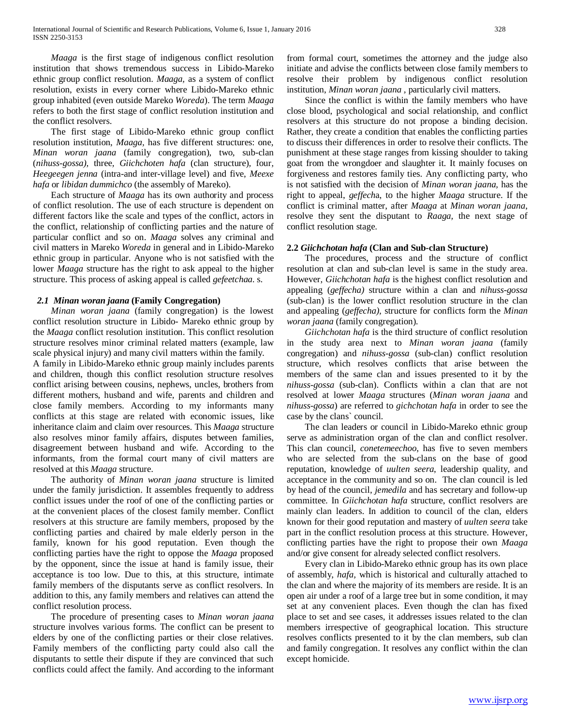*Maaga* is the first stage of indigenous conflict resolution institution that shows tremendous success in Libido-Mareko ethnic group conflict resolution. *Maaga,* as a system of conflict resolution, exists in every corner where Libido-Mareko ethnic group inhabited (even outside Mareko *Woreda*). The term *Maaga* refers to both the first stage of conflict resolution institution and the conflict resolvers.

 The first stage of Libido-Mareko ethnic group conflict resolution institution, *Maaga,* has five different structures: one, *Minan woran jaana* (family congregation)*,* two*,* sub-clan (*nihuss-gossa),* three*, Giichchoten hafa* (clan structure)*,* four*, Heegeegen jenna* (intra-and inter-village level) and five, *Meexe hafa* or *libidan dummichco* (the assembly of Mareko).

 Each structure of *Maaga* has its own authority and process of conflict resolution. The use of each structure is dependent on different factors like the scale and types of the conflict, actors in the conflict, relationship of conflicting parties and the nature of particular conflict and so on. *Maaga* solves any criminal and civil matters in Mareko *Woreda* in general and in Libido-Mareko ethnic group in particular. Anyone who is not satisfied with the lower *Maaga* structure has the right to ask appeal to the higher structure. This process of asking appeal is called *gefeetchaa.* s.

## *2.1 Minan woran jaana* **(Family Congregation)**

 *Minan woran jaana* (family congregation) is the lowest conflict resolution structure in Libido- Mareko ethnic group by the *Maaga* conflict resolution institution. This conflict resolution structure resolves minor criminal related matters (example, law scale physical injury) and many civil matters within the family.

A family in Libido-Mareko ethnic group mainly includes parents and children, though this conflict resolution structure resolves conflict arising between cousins, nephews, uncles, brothers from different mothers, husband and wife, parents and children and close family members. According to my informants many conflicts at this stage are related with economic issues, like inheritance claim and claim over resources. This *Maaga* structure also resolves minor family affairs, disputes between families, disagreement between husband and wife. According to the informants, from the formal court many of civil matters are resolved at this *Maaga* structure.

 The authority of *Minan woran jaana* structure is limited under the family jurisdiction. It assembles frequently to address conflict issues under the roof of one of the conflicting parties or at the convenient places of the closest family member. Conflict resolvers at this structure are family members, proposed by the conflicting parties and chaired by male elderly person in the family, known for his good reputation. Even though the conflicting parties have the right to oppose the *Maaga* proposed by the opponent, since the issue at hand is family issue, their acceptance is too low. Due to this, at this structure, intimate family members of the disputants serve as conflict resolvers. In addition to this, any family members and relatives can attend the conflict resolution process.

 The procedure of presenting cases to *Minan woran jaana* structure involves various forms. The conflict can be present to elders by one of the conflicting parties or their close relatives. Family members of the conflicting party could also call the disputants to settle their dispute if they are convinced that such conflicts could affect the family. And according to the informant from formal court, sometimes the attorney and the judge also initiate and advise the conflicts between close family members to resolve their problem by indigenous conflict resolution institution, *Minan woran jaana ,* particularly civil matters.

 Since the conflict is within the family members who have close blood, psychological and social relationship, and conflict resolvers at this structure do not propose a binding decision. Rather, they create a condition that enables the conflicting parties to discuss their differences in order to resolve their conflicts. The punishment at these stage ranges from kissing shoulder to taking goat from the wrongdoer and slaughter it. It mainly focuses on forgiveness and restores family ties. Any conflicting party, who is not satisfied with the decision of *Minan woran jaana,* has the right to appeal, *geffech*a, to the higher *Maaga* structure. If the conflict is criminal matter, after *Maaga* at *Minan woran jaana*, resolve they sent the disputant to *Raaga,* the next stage of conflict resolution stage.

## **2.2** *Giichchotan hafa* **(Clan and Sub-clan Structure)**

 The procedures, process and the structure of conflict resolution at clan and sub-clan level is same in the study area. However, *Giichchotan hafa* is the highest conflict resolution and appealing (*geffecha)* structure within a clan and *nihuss-gossa*  (sub-clan) is the lower conflict resolution structure in the clan and appealing (*geffecha),* structure for conflicts form the *Minan woran jaana* (family congregation).

 *Giichchotan hafa* is the third structure of conflict resolution in the study area next to *Minan woran jaana* (family congregation) and *nihuss-gossa* (sub-clan) conflict resolution structure, which resolves conflicts that arise between the members of the same clan and issues presented to it by the *nihuss-gossa* (sub-clan). Conflicts within a clan that are not resolved at lower *Maaga* structures (*Minan woran jaana* and *nihuss-gossa*) are referred to *gichchotan hafa* in order to see the case by the clans` council.

 The clan leaders or council in Libido-Mareko ethnic group serve as administration organ of the clan and conflict resolver. This clan council, *conetemeechoo*, has five to seven members who are selected from the sub-clans on the base of good reputation, knowledge of *uulten seera*, leadership quality, and acceptance in the community and so on. The clan council is led by head of the council, *jemedila* and has secretary and follow-up committee. In *Giichchotan hafa* structure, conflict resolvers are mainly clan leaders. In addition to council of the clan, elders known for their good reputation and mastery of *uulten seera* take part in the conflict resolution process at this structure. However, conflicting parties have the right to propose their own *Maaga*  and/or give consent for already selected conflict resolvers.

 Every clan in Libido-Mareko ethnic group has its own place of assembly, *hafa,* which is historical and culturally attached to the clan and where the majority of its members are reside. It is an open air under a roof of a large tree but in some condition, it may set at any convenient places. Even though the clan has fixed place to set and see cases, it addresses issues related to the clan members irrespective of geographical location. This structure resolves conflicts presented to it by the clan members, sub clan and family congregation. It resolves any conflict within the clan except homicide.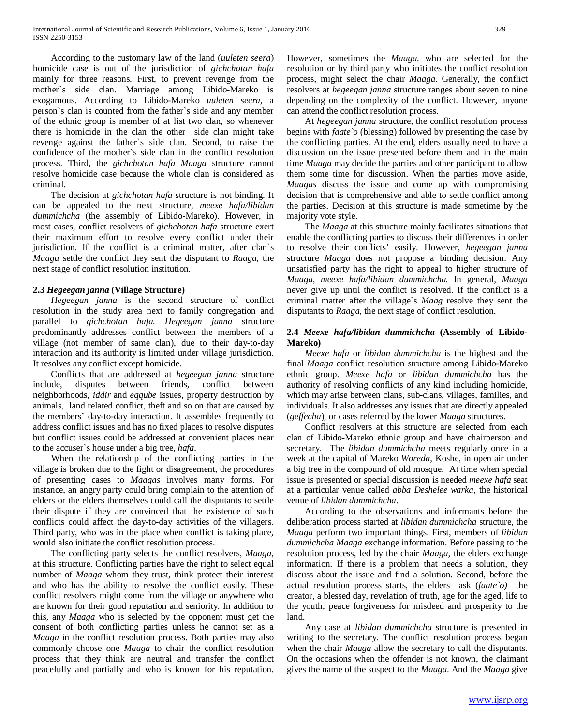According to the customary law of the land (*uuleten seera*) homicide case is out of the jurisdiction of *gichchotan hafa*  mainly for three reasons*.* First, to prevent revenge from the mother`s side clan. Marriage among Libido-Mareko is exogamous. According to Libido-Mareko *uuleten seera,* a person`s clan is counted from the father`s side and any member of the ethnic group is member of at list two clan, so whenever there is homicide in the clan the other side clan might take revenge against the father`s side clan. Second, to raise the confidence of the mother`s side clan in the conflict resolution process. Third, the *gichchotan hafa Maaga* structure cannot resolve homicide case because the whole clan is considered as criminal.

 The decision at *gichchotan hafa* structure is not binding. It can be appealed to the next structure, *meexe hafa/libidan dummichcha* (the assembly of Libido-Mareko). However, in most cases, conflict resolvers of *gichchotan hafa* structure exert their maximum effort to resolve every conflict under their jurisdiction. If the conflict is a criminal matter, after clan`s *Maaga* settle the conflict they sent the disputant to *Raaga,* the next stage of conflict resolution institution.

## **2.3** *Hegeegan janna* **(Village Structure)**

 *Hegeegan janna* is the second structure of conflict resolution in the study area next to family congregation and parallel to *gichchotan hafa. Hegeegan janna* structure predominantly addresses conflict between the members of a village (not member of same clan), due to their day-to-day interaction and its authority is limited under village jurisdiction. It resolves any conflict except homicide.

 Conflicts that are addressed at *hegeegan janna* structure include, disputes between friends, conflict between neighborhoods, *iddir* and *eqqube* issues, property destruction by animals, land related conflict, theft and so on that are caused by the members' day-to-day interaction. It assembles frequently to address conflict issues and has no fixed places to resolve disputes but conflict issues could be addressed at convenient places near to the accuser`s house under a big tree, *hafa*.

 When the relationship of the conflicting parties in the village is broken due to the fight or disagreement, the procedures of presenting cases to *Maagas* involves many forms. For instance, an angry party could bring complain to the attention of elders or the elders themselves could call the disputants to settle their dispute if they are convinced that the existence of such conflicts could affect the day-to-day activities of the villagers. Third party, who was in the place when conflict is taking place, would also initiate the conflict resolution process.

 The conflicting party selects the conflict resolvers, *Maaga*, at this structure. Conflicting parties have the right to select equal number of *Maaga* whom they trust, think protect their interest and who has the ability to resolve the conflict easily. These conflict resolvers might come from the village or anywhere who are known for their good reputation and seniority. In addition to this, any *Maaga* who is selected by the opponent must get the consent of both conflicting parties unless he cannot set as a *Maaga* in the conflict resolution process. Both parties may also commonly choose one *Maaga* to chair the conflict resolution process that they think are neutral and transfer the conflict peacefully and partially and who is known for his reputation.

However, sometimes the *Maaga*, who are selected for the resolution or by third party who initiates the conflict resolution process, might select the chair *Maaga*. Generally, the conflict resolvers at *hegeegan janna* structure ranges about seven to nine depending on the complexity of the conflict. However, anyone can attend the conflict resolution process.

 At *hegeegan janna* structure, the conflict resolution process begins with *faate`o* (blessing) followed by presenting the case by the conflicting parties. At the end, elders usually need to have a discussion on the issue presented before them and in the main time *Maaga* may decide the parties and other participant to allow them some time for discussion. When the parties move aside, *Maagas* discuss the issue and come up with compromising decision that is comprehensive and able to settle conflict among the parties. Decision at this structure is made sometime by the majority vote style.

 The *Maaga* at this structure mainly facilitates situations that enable the conflicting parties to discuss their differences in order to resolve their conflicts' easily. However, *hegeegan janna*  structure *Maaga* does not propose a binding decision. Any unsatisfied party has the right to appeal to higher structure of *Maaga, meexe hafa/libidan dummichcha.* In general, *Maaga*  never give up until the conflict is resolved. If the conflict is a criminal matter after the village`s *Maag* resolve they sent the disputants to *Raaga,* the next stage of conflict resolution.

## **2.4** *Meexe hafa/libidan dummichcha* **(Assembly of Libido-Mareko)**

 *Meexe hafa* or *libidan dummichcha* is the highest and the final *Maaga* conflict resolution structure among Libido-Mareko ethnic group. *Meexe hafa* or *libidan dummichcha* has the authority of resolving conflicts of any kind including homicide, which may arise between clans, sub-clans, villages, families, and individuals. It also addresses any issues that are directly appealed (*geffecha*), or cases referred by the lower *Maaga* structures.

 Conflict resolvers at this structure are selected from each clan of Libido-Mareko ethnic group and have chairperson and secretary. The *libidan dummichcha* meets regularly once in a week at the capital of Mareko *Woreda*, Koshe, in open air under a big tree in the compound of old mosque. At time when special issue is presented or special discussion is needed *meexe hafa* seat at a particular venue called *abba Deshelee warka,* the historical venue of *libidan dummichcha*.

 According to the observations and informants before the deliberation process started at *libidan dummichcha* structure, the *Maaga* perform two important things. First, members of *libidan dummichcha Maaga* exchange information. Before passing to the resolution process, led by the chair *Maaga,* the elders exchange information. If there is a problem that needs a solution, they discuss about the issue and find a solution. Second, before the actual resolution process starts, the elders ask (*faate`o)* the creator, a blessed day, revelation of truth, age for the aged, life to the youth, peace forgiveness for misdeed and prosperity to the land.

 Any case at *libidan dummichcha* structure is presented in writing to the secretary. The conflict resolution process began when the chair *Maaga* allow the secretary to call the disputants. On the occasions when the offender is not known, the claimant gives the name of the suspect to the *Maaga*. And the *Maaga* give